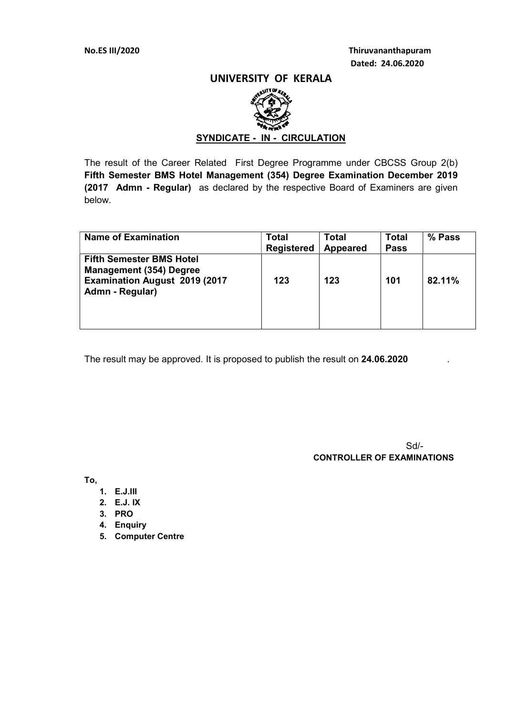No.ES III/2020 Thiruvananthapuram Dated: 24.06.2020

### UNIVERSITY OF KERALA



### SYNDICATE - IN - CIRCULATION

The result of the Career Related First Degree Programme under CBCSS Group 2(b) Fifth Semester BMS Hotel Management (354) Degree Examination December 2019 (2017 Admn - Regular) as declared by the respective Board of Examiners are given below.

| <b>Name of Examination</b>                                                                                                   | Total<br><b>Registered</b> | <b>Total</b><br><b>Appeared</b> | <b>Total</b><br><b>Pass</b> | % Pass |
|------------------------------------------------------------------------------------------------------------------------------|----------------------------|---------------------------------|-----------------------------|--------|
| <b>Fifth Semester BMS Hotel</b><br><b>Management (354) Degree</b><br><b>Examination August 2019 (2017</b><br>Admn - Regular) | 123                        | 123                             | 101                         | 82.11% |

The result may be approved. It is proposed to publish the result on 24.06.2020

 Sd/- CONTROLLER OF EXAMINATIONS

To,

- 1. E.J.III
- 2. E.J. IX
- 3. PRO
- 4. Enquiry
- 5. Computer Centre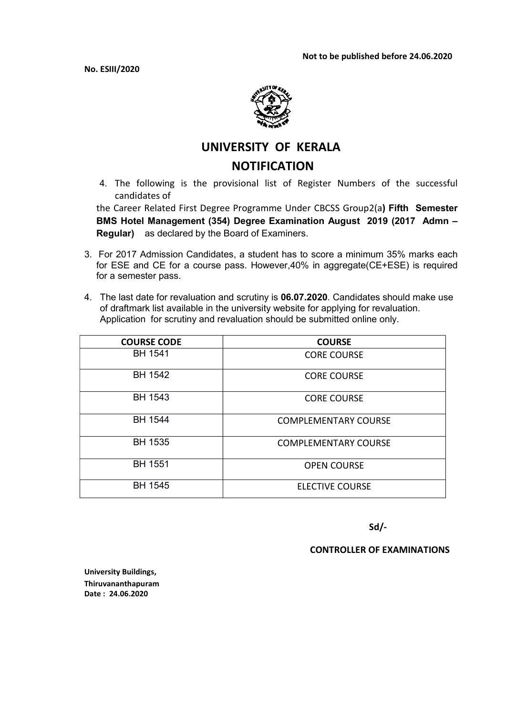No. ESIII/2020



# UNIVERSITY OF KERALA **NOTIFICATION**

4. The following is the provisional list of Register Numbers of the successful candidates of

the Career Related First Degree Programme Under CBCSS Group2(a) Fifth Semester BMS Hotel Management (354) Degree Examination August 2019 (2017 Admn – Regular) as declared by the Board of Examiners.

- 3. For 2017 Admission Candidates, a student has to score a minimum 35% marks each for ESE and CE for a course pass. However,40% in aggregate(CE+ESE) is required for a semester pass.
- 4. The last date for revaluation and scrutiny is 06.07.2020. Candidates should make use of draftmark list available in the university website for applying for revaluation. Application for scrutiny and revaluation should be submitted online only.

| <b>COURSE CODE</b> | <b>COURSE</b>               |
|--------------------|-----------------------------|
| <b>BH 1541</b>     | <b>CORE COURSE</b>          |
| <b>BH 1542</b>     | <b>CORE COURSE</b>          |
| <b>BH 1543</b>     | <b>CORE COURSE</b>          |
| <b>BH 1544</b>     | <b>COMPLEMENTARY COURSE</b> |
| <b>BH 1535</b>     | <b>COMPLEMENTARY COURSE</b> |
| <b>BH 1551</b>     | <b>OPEN COURSE</b>          |
| <b>BH 1545</b>     | <b>ELECTIVE COURSE</b>      |

Sd/-

CONTROLLER OF EXAMINATIONS

University Buildings, Thiruvananthapuram Date : 24.06.2020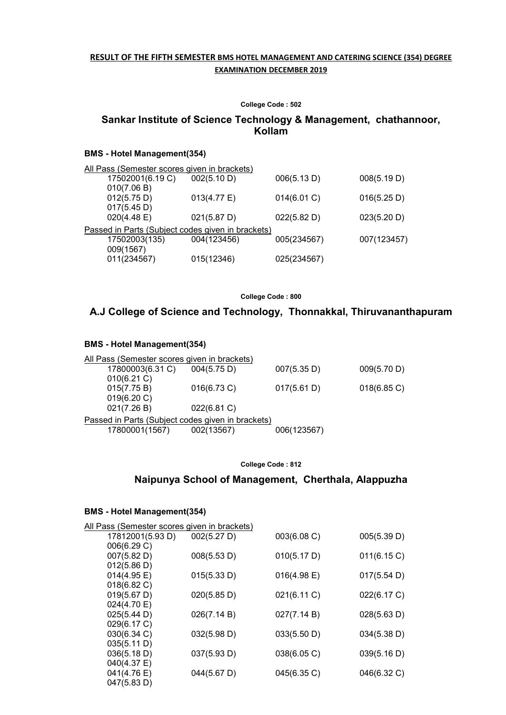#### RESULT OF THE FIFTH SEMESTER BMS HOTEL MANAGEMENT AND CATERING SCIENCE (354) DEGREE EXAMINATION DECEMBER 2019

#### College Code : 502

### Sankar Institute of Science Technology & Management, chathannoor, Kollam

#### BMS - Hotel Management(354)

| All Pass (Semester scores given in brackets)      |                       |             |             |
|---------------------------------------------------|-----------------------|-------------|-------------|
| 17502001(6.19 C)                                  | 002(5.10 D)           | 006(5.13 D) | 008(5.19 D) |
| 010(7.06 B)                                       |                       |             |             |
| 012(5.75 D)                                       | $013(4.77 \text{ E})$ | 014(6.01 C) | 016(5.25 D) |
| 017(5.45 D)                                       |                       |             |             |
| 020(4.48 E)                                       | 021(5.87 D)           | 022(5.82 D) | 023(5.20 D) |
| Passed in Parts (Subject codes given in brackets) |                       |             |             |
| 17502003(135)                                     | 004(123456)           | 005(234567) | 007(123457) |
| 009(1567)                                         |                       |             |             |
| 011(234567)                                       | 015(12346)            | 025(234567) |             |
|                                                   |                       |             |             |

College Code : 800

### A.J College of Science and Technology, Thonnakkal, Thiruvananthapuram

#### BMS - Hotel Management(354)

| All Pass (Semester scores given in brackets)      |                |             |                |
|---------------------------------------------------|----------------|-------------|----------------|
| 17800003(6.31 C)                                  | 004(5.75 D)    | 007(5.35 D) | 009(5.70 D)    |
| 010(6.21)                                         |                |             |                |
| 015(7.75 B)                                       | $016(6.73)$ C) | 017(5.61 D) | $018(6.85)$ C) |
| 019(6.20 C)                                       |                |             |                |
| 021(7.26 B)                                       | 022(6.81 C)    |             |                |
| Passed in Parts (Subject codes given in brackets) |                |             |                |
| 17800001(1567)                                    | 002(13567)     | 006(123567) |                |
|                                                   |                |             |                |

College Code : 812

### Naipunya School of Management, Cherthala, Alappuzha

### BMS - Hotel Management(354)

| All Pass (Semester scores given in brackets) |             |             |             |  |  |
|----------------------------------------------|-------------|-------------|-------------|--|--|
| 17812001(5.93 D)                             | 002(5.27 D) | 003(6.08 C) | 005(5.39 D) |  |  |
| 006(6.29 C)                                  |             |             |             |  |  |
| 007(5.82 D)                                  | 008(5.53 D) | 010(5.17 D) | 011(6.15 C) |  |  |
| 012(5.86 D)                                  |             |             |             |  |  |
| 014(4.95 E)                                  | 015(5.33 D) | 016(4.98 E) | 017(5.54 D) |  |  |
| $018(6.82)$ C)                               |             |             |             |  |  |
| 019(5.67 D)                                  | 020(5.85 D) | 021(6.11 C) | 022(6.17 C) |  |  |
| 024(4.70 E)                                  |             |             |             |  |  |
| 025(5.44 D)                                  | 026(7.14 B) | 027(7.14 B) | 028(5.63 D) |  |  |
| 029(6.17 C)                                  |             |             |             |  |  |
| $030(6.34)$ C)                               | 032(5.98 D) | 033(5.50 D) | 034(5.38 D) |  |  |
| 035(5.11 D)                                  |             |             |             |  |  |
| 036(5.18 D)                                  | 037(5.93 D) | 038(6.05 C) | 039(5.16 D) |  |  |
| 040(4.37 E)                                  |             |             |             |  |  |
| 041(4.76 E)                                  | 044(5.67 D) | 045(6.35 C) | 046(6.32 C) |  |  |
| 047(5.83 D)                                  |             |             |             |  |  |